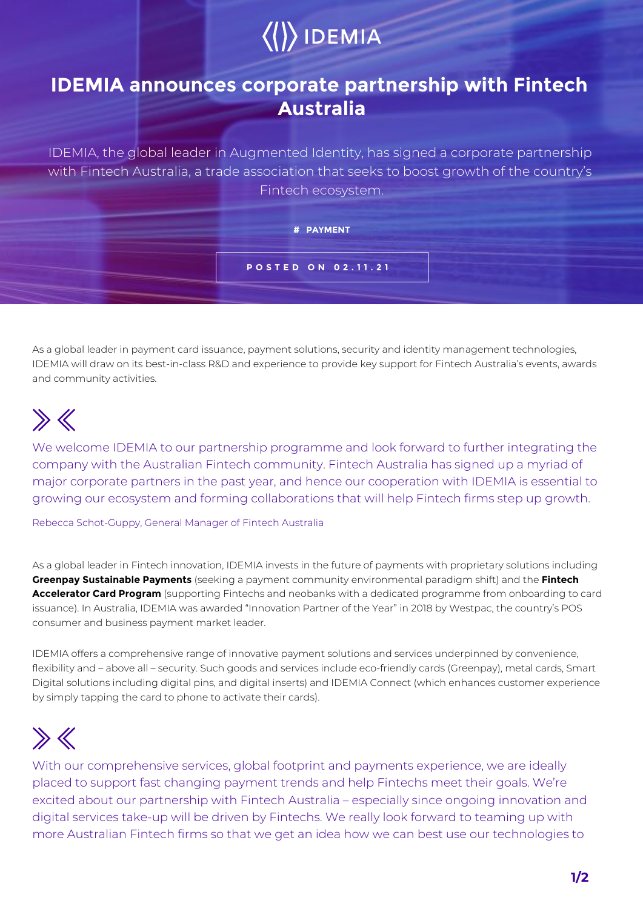# $\langle\langle\rangle\rangle$  IDEMIA

### **IDEMIA announces corporate partnership with Fintech Australia**

IDEMIA, the global leader in Augmented Identity, has signed a corporate partnership with Fintech Australia, a trade association that seeks to boost growth of the country's Fintech ecosystem.

#### **# PAYMENT**

**POSTED ON 02.11.21**

As a global leader in payment card issuance, payment solutions, security and identity management technologies, IDEMIA will draw on its best-in-class R&D and experience to provide key support for Fintech Australia's events, awards and community activities.

### $\gg K$

We welcome IDEMIA to our partnership programme and look forward to further integrating the company with the Australian Fintech community. Fintech Australia has signed up a myriad of major corporate partners in the past year, and hence our cooperation with IDEMIA is essential to growing our ecosystem and forming collaborations that will help Fintech firms step up growth.

Rebecca Schot-Guppy, General Manager of Fintech Australia

As a global leader in Fintech innovation, IDEMIA invests in the future of payments with proprietary solutions including **Greenpay Sustainable Payments** (seeking a payment community environmental paradigm shift) and the **Fintech Accelerator Card Program** (supporting Fintechs and neobanks with a dedicated programme from onboarding to card issuance). In Australia, IDEMIA was awarded "Innovation Partner of the Year" in 2018 by Westpac, the country's POS consumer and business payment market leader.

IDEMIA offers a comprehensive range of innovative payment solutions and services underpinned by convenience, flexibility and – above all – security. Such goods and services include eco-friendly cards (Greenpay), metal cards, Smart Digital solutions including digital pins, and digital inserts) and IDEMIA Connect (which enhances customer experience by simply tapping the card to phone to activate their cards).

## $\gg K$

With our comprehensive services, global footprint and payments experience, we are ideally placed to support fast changing payment trends and help Fintechs meet their goals. We're excited about our partnership with Fintech Australia – especially since ongoing innovation and digital services take-up will be driven by Fintechs. We really look forward to teaming up with more Australian Fintech firms so that we get an idea how we can best use our technologies to